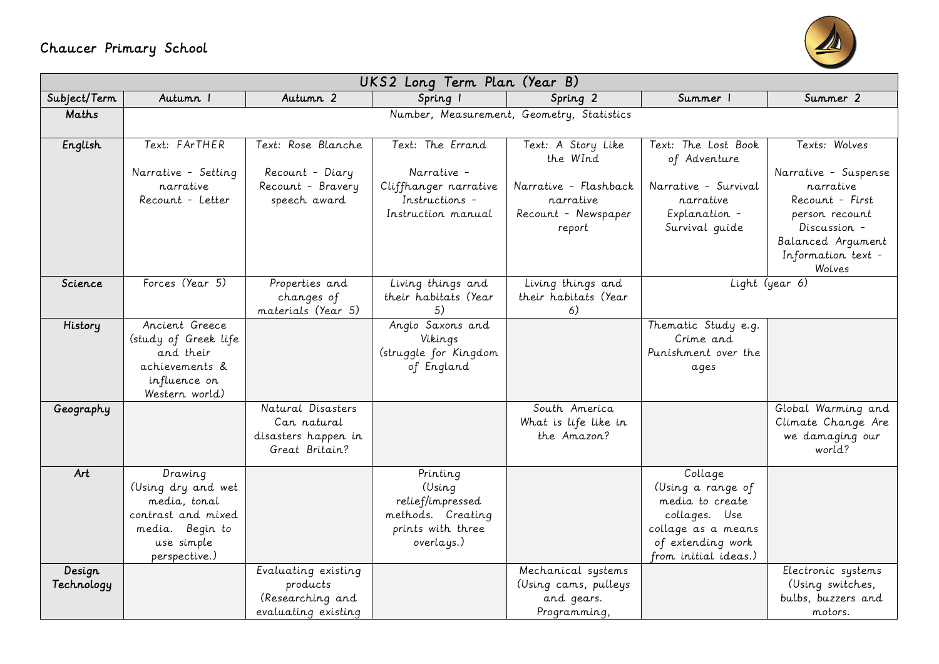## Chaucer Primary School



| UKS2 Long Term Plan (Year B) |                                                                                                                       |                                                                            |                                                                                                |                                                                          |                                                                                                                                     |                                                                                                                                             |  |  |  |  |
|------------------------------|-----------------------------------------------------------------------------------------------------------------------|----------------------------------------------------------------------------|------------------------------------------------------------------------------------------------|--------------------------------------------------------------------------|-------------------------------------------------------------------------------------------------------------------------------------|---------------------------------------------------------------------------------------------------------------------------------------------|--|--|--|--|
| Subject/Term                 | Autumn I                                                                                                              | Autumn 2                                                                   | Spring 1                                                                                       | Spring 2                                                                 | Summer 1                                                                                                                            | Summer 2                                                                                                                                    |  |  |  |  |
| Maths                        |                                                                                                                       |                                                                            |                                                                                                | Number, Measurement, Geometry, Statistics                                |                                                                                                                                     |                                                                                                                                             |  |  |  |  |
| English                      | Text: FArTHER                                                                                                         | Text: Rose Blanche                                                         | Text: The Errand                                                                               | Text: A Story Like<br>the WInd                                           | Text: The Lost Book<br>of Adventure                                                                                                 | Texts: Wolves                                                                                                                               |  |  |  |  |
|                              | Narrative - Setting<br>narrative<br>Recount - Letter                                                                  | Recount - Diary<br>Recount - Bravery<br>speech award                       | Narrative -<br>Cliffhanger narrative<br>Instructions -<br>Instruction manual                   | Narrative - Flashback<br>narrative<br>Recount - Newspaper<br>report      | Narrative - Survival<br>narrative<br>Explanation -<br>Survival guide                                                                | Narrative - Suspense<br>narrative<br>Recount - First<br>person recount<br>Discussion -<br>Balanced Argument<br>Information text -<br>Wolves |  |  |  |  |
| Science                      | Forces (Year 5)                                                                                                       | Properties and<br>changes of<br>materials (Year 5)                         | Living things and<br>their habitats (Year<br>5)                                                | Living things and<br>their habitats (Year<br>6)                          | Light (year 6)                                                                                                                      |                                                                                                                                             |  |  |  |  |
| History                      | Ancient Greece<br>(study of Greek life<br>and their<br>achievements &<br>influence on<br>Western world)               |                                                                            | Anglo Saxons and<br>Vikings<br>(struggle for Kingdom<br>of England                             |                                                                          | Thematic Study e.g.<br>Crime and<br>Punishment over the<br>ages                                                                     |                                                                                                                                             |  |  |  |  |
| Geography                    |                                                                                                                       | Natural Disasters<br>Can natural<br>disasters happen in<br>Great Britain?  |                                                                                                | South America<br>What is life like in<br>the Amazon?                     |                                                                                                                                     | Global Warming and<br>Climate Change Are<br>we damaging our<br>world?                                                                       |  |  |  |  |
| Art                          | Drawing<br>(Using dry and wet<br>media, tonal<br>contrast and mixed<br>media. Begin to<br>use simple<br>perspective.) |                                                                            | Printing<br>(Using<br>relief/impressed<br>methods. Creating<br>prints with three<br>overlays.) |                                                                          | Collage<br>(Using a range of<br>media to create<br>collages. Use<br>collage as a means<br>of extending work<br>from initial ideas.) |                                                                                                                                             |  |  |  |  |
| Design<br>Technology         |                                                                                                                       | Evaluating existing<br>products<br>(Researching and<br>evaluating existing |                                                                                                | Mechanical systems<br>(Using cams, pulleys<br>and gears.<br>Programming, |                                                                                                                                     | Electronic systems<br>(Using switches,<br>bulbs, buzzers and<br>motors.                                                                     |  |  |  |  |